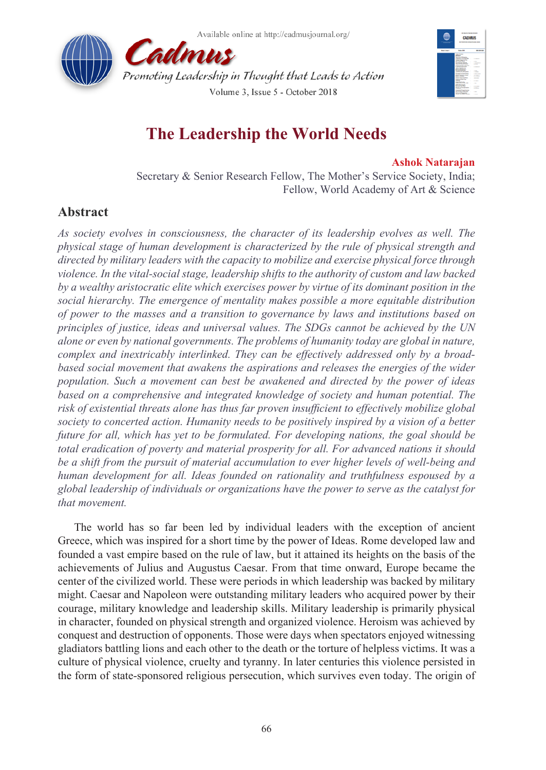



# **The Leadership the World Needs**

### **Ashok Natarajan**

Secretary & Senior Research Fellow, The Mother's Service Society, India; Fellow, World Academy of Art & Science

## **Abstract**

*As society evolves in consciousness, the character of its leadership evolves as well. The physical stage of human development is characterized by the rule of physical strength and directed by military leaders with the capacity to mobilize and exercise physical force through violence. In the vital-social stage, leadership shifts to the authority of custom and law backed by a wealthy aristocratic elite which exercises power by virtue of its dominant position in the social hierarchy. The emergence of mentality makes possible a more equitable distribution of power to the masses and a transition to governance by laws and institutions based on principles of justice, ideas and universal values. The SDGs cannot be achieved by the UN alone or even by national governments. The problems of humanity today are global in nature, complex and inextricably interlinked. They can be effectively addressed only by a broadbased social movement that awakens the aspirations and releases the energies of the wider population. Such a movement can best be awakened and directed by the power of ideas*  based on a comprehensive and integrated knowledge of society and human potential. The *risk of existential threats alone has thus far proven insufficient to effectively mobilize global society to concerted action. Humanity needs to be positively inspired by a vision of a better future for all, which has yet to be formulated. For developing nations, the goal should be total eradication of poverty and material prosperity for all. For advanced nations it should be a shift from the pursuit of material accumulation to ever higher levels of well-being and human development for all. Ideas founded on rationality and truthfulness espoused by a global leadership of individuals or organizations have the power to serve as the catalyst for that movement.*

The world has so far been led by individual leaders with the exception of ancient Greece, which was inspired for a short time by the power of Ideas. Rome developed law and founded a vast empire based on the rule of law, but it attained its heights on the basis of the achievements of Julius and Augustus Caesar. From that time onward, Europe became the center of the civilized world. These were periods in which leadership was backed by military might. Caesar and Napoleon were outstanding military leaders who acquired power by their courage, military knowledge and leadership skills. Military leadership is primarily physical in character, founded on physical strength and organized violence. Heroism was achieved by conquest and destruction of opponents. Those were days when spectators enjoyed witnessing gladiators battling lions and each other to the death or the torture of helpless victims. It was a culture of physical violence, cruelty and tyranny. In later centuries this violence persisted in the form of state-sponsored religious persecution, which survives even today. The origin of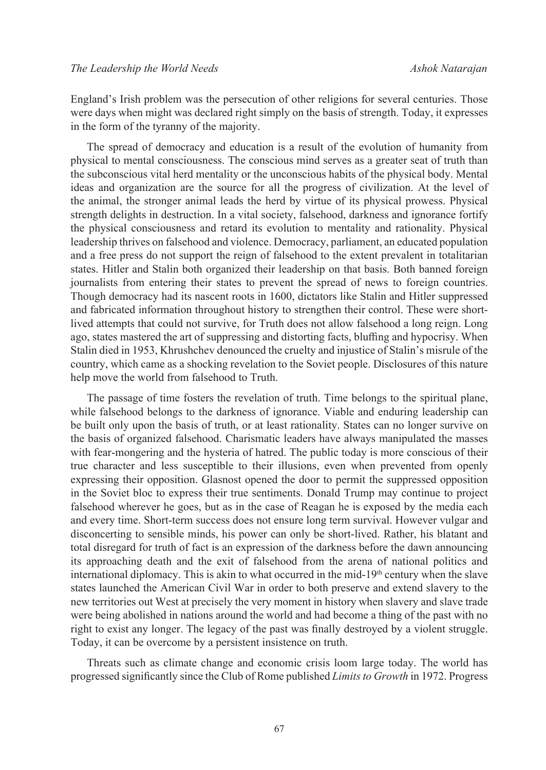England's Irish problem was the persecution of other religions for several centuries. Those were days when might was declared right simply on the basis of strength. Today, it expresses in the form of the tyranny of the majority.

The spread of democracy and education is a result of the evolution of humanity from physical to mental consciousness. The conscious mind serves as a greater seat of truth than the subconscious vital herd mentality or the unconscious habits of the physical body. Mental ideas and organization are the source for all the progress of civilization. At the level of the animal, the stronger animal leads the herd by virtue of its physical prowess. Physical strength delights in destruction. In a vital society, falsehood, darkness and ignorance fortify the physical consciousness and retard its evolution to mentality and rationality. Physical leadership thrives on falsehood and violence. Democracy, parliament, an educated population and a free press do not support the reign of falsehood to the extent prevalent in totalitarian states. Hitler and Stalin both organized their leadership on that basis. Both banned foreign journalists from entering their states to prevent the spread of news to foreign countries. Though democracy had its nascent roots in 1600, dictators like Stalin and Hitler suppressed and fabricated information throughout history to strengthen their control. These were shortlived attempts that could not survive, for Truth does not allow falsehood a long reign. Long ago, states mastered the art of suppressing and distorting facts, bluffing and hypocrisy. When Stalin died in 1953, Khrushchev denounced the cruelty and injustice of Stalin's misrule of the country, which came as a shocking revelation to the Soviet people. Disclosures of this nature help move the world from falsehood to Truth.

The passage of time fosters the revelation of truth. Time belongs to the spiritual plane, while falsehood belongs to the darkness of ignorance. Viable and enduring leadership can be built only upon the basis of truth, or at least rationality. States can no longer survive on the basis of organized falsehood. Charismatic leaders have always manipulated the masses with fear-mongering and the hysteria of hatred. The public today is more conscious of their true character and less susceptible to their illusions, even when prevented from openly expressing their opposition. Glasnost opened the door to permit the suppressed opposition in the Soviet bloc to express their true sentiments. Donald Trump may continue to project falsehood wherever he goes, but as in the case of Reagan he is exposed by the media each and every time. Short-term success does not ensure long term survival. However vulgar and disconcerting to sensible minds, his power can only be short-lived. Rather, his blatant and total disregard for truth of fact is an expression of the darkness before the dawn announcing its approaching death and the exit of falsehood from the arena of national politics and international diplomacy. This is akin to what occurred in the mid- $19<sup>th</sup>$  century when the slave states launched the American Civil War in order to both preserve and extend slavery to the new territories out West at precisely the very moment in history when slavery and slave trade were being abolished in nations around the world and had become a thing of the past with no right to exist any longer. The legacy of the past was finally destroyed by a violent struggle. Today, it can be overcome by a persistent insistence on truth.

Threats such as climate change and economic crisis loom large today. The world has progressed significantly since the Club of Rome published *Limits to Growth* in 1972. Progress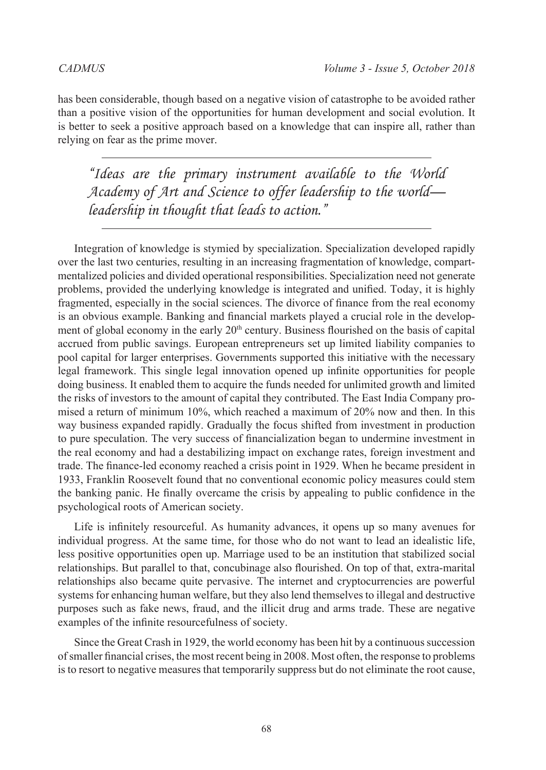has been considerable, though based on a negative vision of catastrophe to be avoided rather than a positive vision of the opportunities for human development and social evolution. It is better to seek a positive approach based on a knowledge that can inspire all, rather than relying on fear as the prime mover.

*"Ideas are the primary instrument available to the World Academy of Art and Science to offer leadership to the world leadership in thought that leads to action."*

Integration of knowledge is stymied by specialization. Specialization developed rapidly over the last two centuries, resulting in an increasing fragmentation of knowledge, compartmentalized policies and divided operational responsibilities. Specialization need not generate problems, provided the underlying knowledge is integrated and unified. Today, it is highly fragmented, especially in the social sciences. The divorce of finance from the real economy is an obvious example. Banking and financial markets played a crucial role in the development of global economy in the early  $20<sup>th</sup>$  century. Business flourished on the basis of capital accrued from public savings. European entrepreneurs set up limited liability companies to pool capital for larger enterprises. Governments supported this initiative with the necessary legal framework. This single legal innovation opened up infinite opportunities for people doing business. It enabled them to acquire the funds needed for unlimited growth and limited the risks of investors to the amount of capital they contributed. The East India Company promised a return of minimum 10%, which reached a maximum of 20% now and then. In this way business expanded rapidly. Gradually the focus shifted from investment in production to pure speculation. The very success of financialization began to undermine investment in the real economy and had a destabilizing impact on exchange rates, foreign investment and trade. The finance-led economy reached a crisis point in 1929. When he became president in 1933, Franklin Roosevelt found that no conventional economic policy measures could stem the banking panic. He finally overcame the crisis by appealing to public confidence in the psychological roots of American society.

Life is infinitely resourceful. As humanity advances, it opens up so many avenues for individual progress. At the same time, for those who do not want to lead an idealistic life, less positive opportunities open up. Marriage used to be an institution that stabilized social relationships. But parallel to that, concubinage also flourished. On top of that, extra-marital relationships also became quite pervasive. The internet and cryptocurrencies are powerful systems for enhancing human welfare, but they also lend themselves to illegal and destructive purposes such as fake news, fraud, and the illicit drug and arms trade. These are negative examples of the infinite resourcefulness of society.

Since the Great Crash in 1929, the world economy has been hit by a continuous succession of smaller financial crises, the most recent being in 2008. Most often, the response to problems is to resort to negative measures that temporarily suppress but do not eliminate the root cause,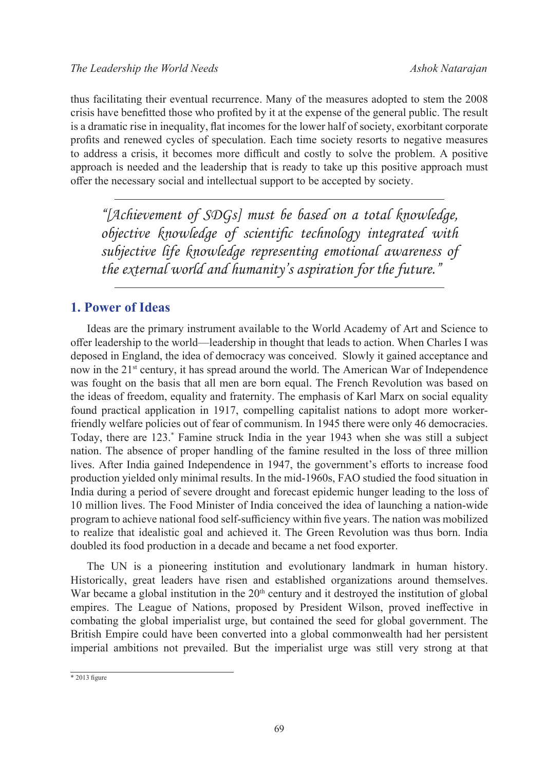thus facilitating their eventual recurrence. Many of the measures adopted to stem the 2008 crisis have benefitted those who profited by it at the expense of the general public. The result is a dramatic rise in inequality, flat incomes for the lower half of society, exorbitant corporate profits and renewed cycles of speculation. Each time society resorts to negative measures to address a crisis, it becomes more difficult and costly to solve the problem. A positive approach is needed and the leadership that is ready to take up this positive approach must offer the necessary social and intellectual support to be accepted by society.

*"[Achievement of SDGs] must be based on a total knowledge, objective knowledge of scientific technology integrated with subjective life knowledge representing emotional awareness of the external world and humanity's aspiration for the future."*

### **1. Power of Ideas**

Ideas are the primary instrument available to the World Academy of Art and Science to offer leadership to the world—leadership in thought that leads to action. When Charles I was deposed in England, the idea of democracy was conceived. Slowly it gained acceptance and now in the 21<sup>st</sup> century, it has spread around the world. The American War of Independence was fought on the basis that all men are born equal. The French Revolution was based on the ideas of freedom, equality and fraternity. The emphasis of Karl Marx on social equality found practical application in 1917, compelling capitalist nations to adopt more workerfriendly welfare policies out of fear of communism. In 1945 there were only 46 democracies. Today, there are 123.\* Famine struck India in the year 1943 when she was still a subject nation. The absence of proper handling of the famine resulted in the loss of three million lives. After India gained Independence in 1947, the government's efforts to increase food production yielded only minimal results. In the mid-1960s, FAO studied the food situation in India during a period of severe drought and forecast epidemic hunger leading to the loss of 10 million lives. The Food Minister of India conceived the idea of launching a nation-wide program to achieve national food self-sufficiency within five years. The nation was mobilized to realize that idealistic goal and achieved it. The Green Revolution was thus born. India doubled its food production in a decade and became a net food exporter.

The UN is a pioneering institution and evolutionary landmark in human history. Historically, great leaders have risen and established organizations around themselves. War became a global institution in the  $20<sup>th</sup>$  century and it destroyed the institution of global empires. The League of Nations, proposed by President Wilson, proved ineffective in combating the global imperialist urge, but contained the seed for global government. The British Empire could have been converted into a global commonwealth had her persistent imperial ambitions not prevailed. But the imperialist urge was still very strong at that

 $*$  2013 figure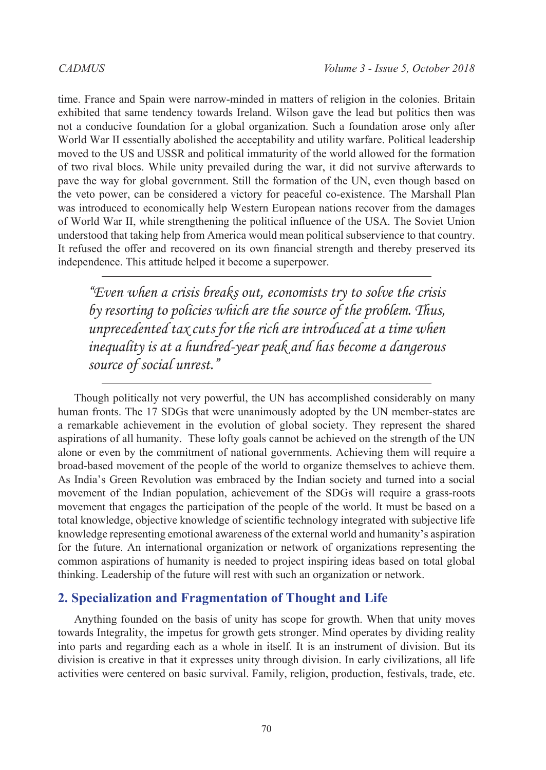time. France and Spain were narrow-minded in matters of religion in the colonies. Britain exhibited that same tendency towards Ireland. Wilson gave the lead but politics then was not a conducive foundation for a global organization. Such a foundation arose only after World War II essentially abolished the acceptability and utility warfare. Political leadership moved to the US and USSR and political immaturity of the world allowed for the formation of two rival blocs. While unity prevailed during the war, it did not survive afterwards to pave the way for global government. Still the formation of the UN, even though based on the veto power, can be considered a victory for peaceful co-existence. The Marshall Plan was introduced to economically help Western European nations recover from the damages of World War II, while strengthening the political influence of the USA. The Soviet Union understood that taking help from America would mean political subservience to that country. It refused the offer and recovered on its own financial strength and thereby preserved its independence. This attitude helped it become a superpower.

*"Even when a crisis breaks out, economists try to solve the crisis by resorting to policies which are the source of the problem. Thus, unprecedented tax cuts for the rich are introduced at a time when inequality is at a hundred-year peak and has become a dangerous source of social unrest."*

Though politically not very powerful, the UN has accomplished considerably on many human fronts. The 17 SDGs that were unanimously adopted by the UN member-states are a remarkable achievement in the evolution of global society. They represent the shared aspirations of all humanity. These lofty goals cannot be achieved on the strength of the UN alone or even by the commitment of national governments. Achieving them will require a broad-based movement of the people of the world to organize themselves to achieve them. As India's Green Revolution was embraced by the Indian society and turned into a social movement of the Indian population, achievement of the SDGs will require a grass-roots movement that engages the participation of the people of the world. It must be based on a total knowledge, objective knowledge of scientific technology integrated with subjective life knowledge representing emotional awareness of the external world and humanity's aspiration for the future. An international organization or network of organizations representing the common aspirations of humanity is needed to project inspiring ideas based on total global thinking. Leadership of the future will rest with such an organization or network.

#### **2. Specialization and Fragmentation of Thought and Life**

Anything founded on the basis of unity has scope for growth. When that unity moves towards Integrality, the impetus for growth gets stronger. Mind operates by dividing reality into parts and regarding each as a whole in itself. It is an instrument of division. But its division is creative in that it expresses unity through division. In early civilizations, all life activities were centered on basic survival. Family, religion, production, festivals, trade, etc.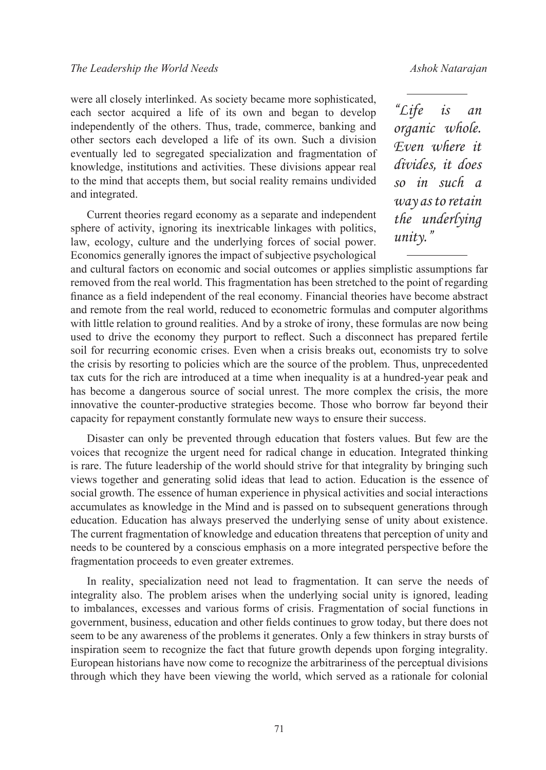were all closely interlinked. As society became more sophisticated, each sector acquired a life of its own and began to develop independently of the others. Thus, trade, commerce, banking and other sectors each developed a life of its own. Such a division eventually led to segregated specialization and fragmentation of knowledge, institutions and activities. These divisions appear real to the mind that accepts them, but social reality remains undivided and integrated.

Current theories regard economy as a separate and independent sphere of activity, ignoring its inextricable linkages with politics, law, ecology, culture and the underlying forces of social power. Economics generally ignores the impact of subjective psychological

*"Life is an organic whole. Even where it divides, it does so in such a way as to retain the underlying unity."*

and cultural factors on economic and social outcomes or applies simplistic assumptions far removed from the real world. This fragmentation has been stretched to the point of regarding finance as a field independent of the real economy. Financial theories have become abstract and remote from the real world, reduced to econometric formulas and computer algorithms with little relation to ground realities. And by a stroke of irony, these formulas are now being used to drive the economy they purport to reflect. Such a disconnect has prepared fertile soil for recurring economic crises. Even when a crisis breaks out, economists try to solve the crisis by resorting to policies which are the source of the problem. Thus, unprecedented tax cuts for the rich are introduced at a time when inequality is at a hundred-year peak and has become a dangerous source of social unrest. The more complex the crisis, the more innovative the counter-productive strategies become. Those who borrow far beyond their capacity for repayment constantly formulate new ways to ensure their success.

Disaster can only be prevented through education that fosters values. But few are the voices that recognize the urgent need for radical change in education. Integrated thinking is rare. The future leadership of the world should strive for that integrality by bringing such views together and generating solid ideas that lead to action. Education is the essence of social growth. The essence of human experience in physical activities and social interactions accumulates as knowledge in the Mind and is passed on to subsequent generations through education. Education has always preserved the underlying sense of unity about existence. The current fragmentation of knowledge and education threatens that perception of unity and needs to be countered by a conscious emphasis on a more integrated perspective before the fragmentation proceeds to even greater extremes.

In reality, specialization need not lead to fragmentation. It can serve the needs of integrality also. The problem arises when the underlying social unity is ignored, leading to imbalances, excesses and various forms of crisis. Fragmentation of social functions in government, business, education and other fields continues to grow today, but there does not seem to be any awareness of the problems it generates. Only a few thinkers in stray bursts of inspiration seem to recognize the fact that future growth depends upon forging integrality. European historians have now come to recognize the arbitrariness of the perceptual divisions through which they have been viewing the world, which served as a rationale for colonial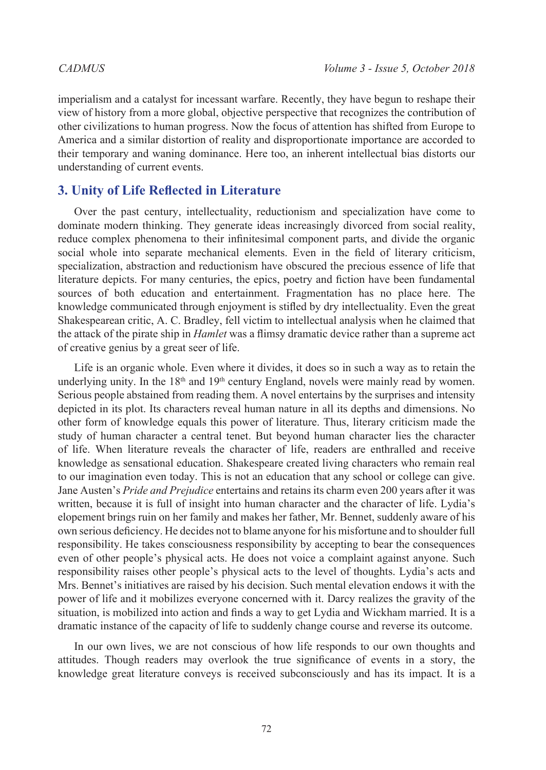imperialism and a catalyst for incessant warfare. Recently, they have begun to reshape their view of history from a more global, objective perspective that recognizes the contribution of other civilizations to human progress. Now the focus of attention has shifted from Europe to America and a similar distortion of reality and disproportionate importance are accorded to their temporary and waning dominance. Here too, an inherent intellectual bias distorts our understanding of current events.

### **3. Unity of Life Reflected in Literature**

Over the past century, intellectuality, reductionism and specialization have come to dominate modern thinking. They generate ideas increasingly divorced from social reality, reduce complex phenomena to their infinitesimal component parts, and divide the organic social whole into separate mechanical elements. Even in the field of literary criticism, specialization, abstraction and reductionism have obscured the precious essence of life that literature depicts. For many centuries, the epics, poetry and fiction have been fundamental sources of both education and entertainment. Fragmentation has no place here. The knowledge communicated through enjoyment is stifled by dry intellectuality. Even the great Shakespearean critic, A. C. Bradley, fell victim to intellectual analysis when he claimed that the attack of the pirate ship in *Hamlet* was a flimsy dramatic device rather than a supreme act of creative genius by a great seer of life.

Life is an organic whole. Even where it divides, it does so in such a way as to retain the underlying unity. In the  $18<sup>th</sup>$  and  $19<sup>th</sup>$  century England, novels were mainly read by women. Serious people abstained from reading them. A novel entertains by the surprises and intensity depicted in its plot. Its characters reveal human nature in all its depths and dimensions. No other form of knowledge equals this power of literature. Thus, literary criticism made the study of human character a central tenet. But beyond human character lies the character of life. When literature reveals the character of life, readers are enthralled and receive knowledge as sensational education. Shakespeare created living characters who remain real to our imagination even today. This is not an education that any school or college can give. Jane Austen's *Pride and Prejudice* entertains and retains its charm even 200 years after it was written, because it is full of insight into human character and the character of life. Lydia's elopement brings ruin on her family and makes her father, Mr. Bennet, suddenly aware of his own serious deficiency. He decides not to blame anyone for his misfortune and to shoulder full responsibility. He takes consciousness responsibility by accepting to bear the consequences even of other people's physical acts. He does not voice a complaint against anyone. Such responsibility raises other people's physical acts to the level of thoughts. Lydia's acts and Mrs. Bennet's initiatives are raised by his decision. Such mental elevation endows it with the power of life and it mobilizes everyone concerned with it. Darcy realizes the gravity of the situation, is mobilized into action and finds a way to get Lydia and Wickham married. It is a dramatic instance of the capacity of life to suddenly change course and reverse its outcome.

In our own lives, we are not conscious of how life responds to our own thoughts and attitudes. Though readers may overlook the true significance of events in a story, the knowledge great literature conveys is received subconsciously and has its impact. It is a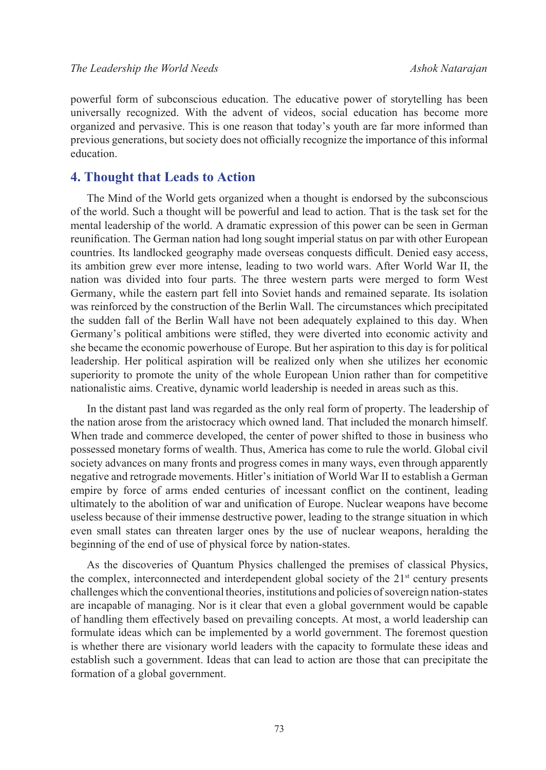powerful form of subconscious education. The educative power of storytelling has been universally recognized. With the advent of videos, social education has become more organized and pervasive. This is one reason that today's youth are far more informed than previous generations, but society does not officially recognize the importance of this informal education.

### **4. Thought that Leads to Action**

The Mind of the World gets organized when a thought is endorsed by the subconscious of the world. Such a thought will be powerful and lead to action. That is the task set for the mental leadership of the world. A dramatic expression of this power can be seen in German reunification. The German nation had long sought imperial status on par with other European countries. Its landlocked geography made overseas conquests difficult. Denied easy access, its ambition grew ever more intense, leading to two world wars. After World War II, the nation was divided into four parts. The three western parts were merged to form West Germany, while the eastern part fell into Soviet hands and remained separate. Its isolation was reinforced by the construction of the Berlin Wall. The circumstances which precipitated the sudden fall of the Berlin Wall have not been adequately explained to this day. When Germany's political ambitions were stifled, they were diverted into economic activity and she became the economic powerhouse of Europe. But her aspiration to this day is for political leadership. Her political aspiration will be realized only when she utilizes her economic superiority to promote the unity of the whole European Union rather than for competitive nationalistic aims. Creative, dynamic world leadership is needed in areas such as this.

In the distant past land was regarded as the only real form of property. The leadership of the nation arose from the aristocracy which owned land. That included the monarch himself. When trade and commerce developed, the center of power shifted to those in business who possessed monetary forms of wealth. Thus, America has come to rule the world. Global civil society advances on many fronts and progress comes in many ways, even through apparently negative and retrograde movements. Hitler's initiation of World War II to establish a German empire by force of arms ended centuries of incessant conflict on the continent, leading ultimately to the abolition of war and unification of Europe. Nuclear weapons have become useless because of their immense destructive power, leading to the strange situation in which even small states can threaten larger ones by the use of nuclear weapons, heralding the beginning of the end of use of physical force by nation-states.

As the discoveries of Quantum Physics challenged the premises of classical Physics, the complex, interconnected and interdependent global society of the  $21<sup>st</sup>$  century presents challenges which the conventional theories, institutions and policies of sovereign nation-states are incapable of managing. Nor is it clear that even a global government would be capable of handling them effectively based on prevailing concepts. At most, a world leadership can formulate ideas which can be implemented by a world government. The foremost question is whether there are visionary world leaders with the capacity to formulate these ideas and establish such a government. Ideas that can lead to action are those that can precipitate the formation of a global government.